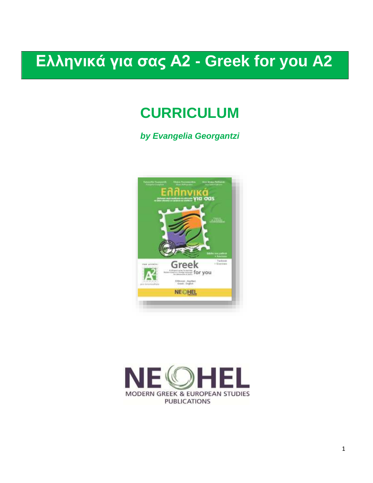# **Ελληνικά για σας Α2 - Greek for you A2**

# **CURRICULUM**

*by Evangelia Georgantzi*



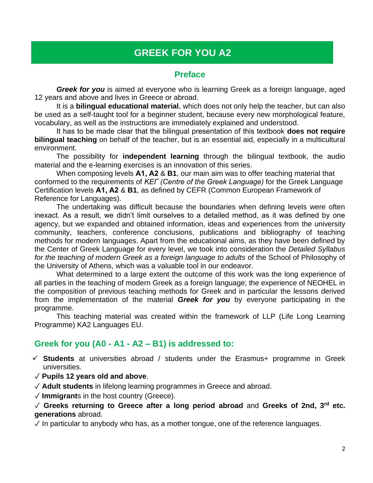# **GREEK FOR YOU A2**

### **Preface**

**Greek for you** is aimed at everyone who is learning Greek as a foreign language, aged 12 years and above and lives in Greece or abroad.

It is a **bilingual educational material**, which does not only help the teacher, but can also be used as a self-taught tool for a beginner student, because every new morphological feature, vocabulary, as well as the instructions are immediately explained and understood.

Ιt has to be made clear that the bilingual presentation of this textbook **does not require bilingual teaching** on behalf of the teacher, but is an essential aid, especially in a multicultural environment.

The possibility for **independent learning** through the bilingual textbook, the audio material and the e-learning exercises is an innovation of this series.

When composing levels **Α1, Α2** & **B1**, our main aim was to offer teaching material that conformed to the requirements of *ΚΕΓ (Centre of the Greek Language)* for the Greek Language Certification levels **Α1, Α2** & **B1**, as defined by CEFR (Common European Framework of Reference for Languages).

The undertaking was difficult because the boundaries when defining levels were often inexact. As a result, we didn't limit ourselves to a detailed method, as it was defined by one agency, but we expanded and obtained information, ideas and experiences from the university community, teachers, conference conclusions, publications and bibliography of teaching methods for modern languages. Apart from the educational aims, as they have been defined by the Center of Greek Language for every level, we took into consideration the *Detailed Syllabus*  for the teaching of modern Greek as a foreign language to adults of the School of Philosophy of the University of Athens, which was a valuable tool in our endeavor.

What determined to a large extent the outcome of this work was the long experience of all parties in the teaching of modern Greek as a foreign language; the experience of NEOHEL in the composition of previous teaching methods for Greek and in particular the lessons derived from the implementation of the material *Greek for you* by everyone participating in the programme.

This teaching material was created within the framework of LLP (Life Long Learning Programme) KA2 Languages EU.

### **Greek for you (A0 - A1 - A2 – B1) is addressed to:**

- ✓ **Students** at universities abroad / students under the Erasmus+ programme in Greek universities.
- ✓ **Pupils 12 years old and above**.
- ✓ **Adult students** in lifelong learning programmes in Greece and abroad.
- ✓ **Immigrant**s in the host country (Greece).

✓ **Greeks returning to Greece after a long period abroad** and **Greeks of 2nd, 3rd etc. generations** abroad.

 $\sqrt{2}$  In particular to anybody who has, as a mother tongue, one of the reference languages.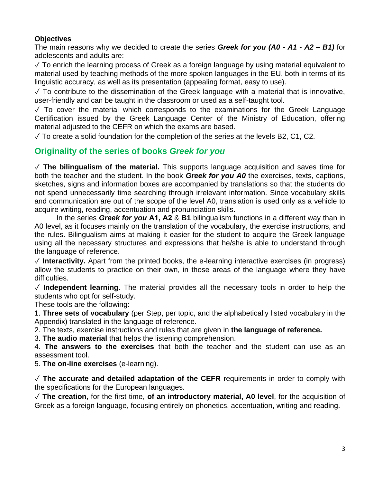### **Objectives**

The main reasons why we decided to create the series *Greek for you (A0 - A1 - A2 – B1)* for adolescents and adults are:

 $\sqrt{2}$  To enrich the learning process of Greek as a foreign language by using material equivalent to material used by teaching methods of the more spoken languages in the EU, both in terms of its linguistic accuracy, as well as its presentation (appealing format, easy to use).

 $\sqrt{2}$  To contribute to the dissemination of the Greek language with a material that is innovative, user-friendly and can be taught in the classroom or used as a self-taught tool.

✓ To cover the material which corresponds to the examinations for the Greek Language Certification issued by the Greek Language Center of the Ministry of Education, offering material adjusted to the CEFR on which the exams are based.

 $\sqrt{2}$  To create a solid foundation for the completion of the series at the levels B2, C1, C2.

# **Originality of the series of books** *Greek for you*

✓ **The bilingualism of the material.** This supports language acquisition and saves time for both the teacher and the student. In the book *Greek for you A0* the exercises, texts, captions, sketches, signs and information boxes are accompanied by translations so that the students do not spend unnecessarily time searching through irrelevant information. Since vocabulary skills and communication are out of the scope of the level A0, translation is used only as a vehicle to acquire writing, reading, accentuation and pronunciation skills.

In the series *Greek for you* **Α1, Α2** & **B1** bilingualism functions in a different way than in A0 level, as it focuses mainly on the translation of the vocabulary, the exercise instructions, and the rules. Bilingualism aims at making it easier for the student to acquire the Greek language using all the necessary structures and expressions that he/she is able to understand through the language of reference.

✓ **Interactivity.** Apart from the printed books, the e-learning interactive exercises (in progress) allow the students to practice on their own, in those areas of the language where they have difficulties.

✓ **Independent learning**. The material provides all the necessary tools in order to help the students who opt for self-study.

These tools are the following:

1. **Three sets of vocabulary** (per Step, per topic, and the alphabetically listed vocabulary in the Appendix) translated in the language of reference.

2. The texts, exercise instructions and rules that are given in **the language of reference.**

3. **The audio material** that helps the listening comprehension.

4. **The answers to the exercises** that both the teacher and the student can use as an assessment tool.

5. **The on-line exercises** (e-learning).

✓ **The accurate and detailed adaptation of the CEFR** requirements in order to comply with the specifications for the European languages.

✓ **The creation**, for the first time, **of an introductory material, A0 level**, for the acquisition of Greek as a foreign language, focusing entirely on phonetics, accentuation, writing and reading.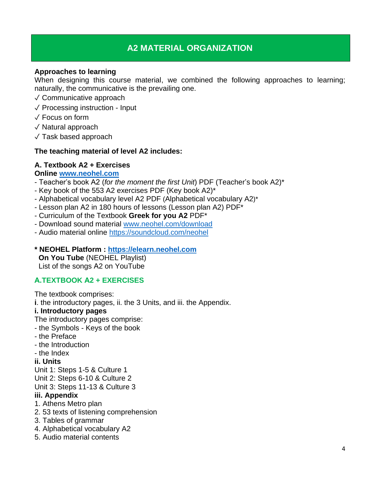# **A2 MATERIAL ORGANIZATION**

### **Approaches to learning**

When designing this course material, we combined the following approaches to learning; naturally, the communicative is the prevailing one.

- ✓ Communicative approach
- $\sqrt{\ }$  Processing instruction Input
- ✓ Focus on form
- ✓ Natural approach
- ✓ Task based approach

#### **The teaching material of level A2 includes:**

### **A. Textbook A2 + Exercises**

#### **Online [www.neohel.com](http://www.neohel.com/)**

- Teacher's book A2 (*for the moment the first Unit*) PDF (Teacher's book A2)\*
- Key book of the 553 A2 exercises PDF (Key book A2)\*
- Alphabetical vocabulary level A2 PDF (Alphabetical vocabulary A2)\*
- Lesson plan A2 in 180 hours of lessons (Lesson plan A2) PDF\*
- Curriculum of the Textbook **Greek for you A2** PDF\*
- Download sound material [www.neohel.com/download](http://www.neohel.com/download)
- Audio material online <https://soundcloud.com/neohel>

### **\* NEOHEL Platform : [https://elearn.neohel.com](https://elearn.neohel.com/)**

 **On You Tube** (NEOHEL Playlist) List of the songs Α2 on YouTube

### **Α.TEXTBOOK Α2 + EXERCISES**

The textbook comprises:

**i**. the introductory pages, ii. the 3 Units, and iii. the Appendix.

#### **i. Introductory pages**

- The introductory pages comprise:
- the Symbols Keys of the book
- the Preface
- the Introduction
- the Index

#### **ii. Units**

Unit 1: Steps 1-5 & Culture 1 Unit 2: Steps 6-10 & Culture 2 Unit 3: Steps 11-13 & Culture 3

### **iii. Appendix**

- 1. Athens Metro plan
- 2. 53 texts of listening comprehension
- 3. Tables of grammar
- 4. Alphabetical vocabulary A2
- 5. Audio material contents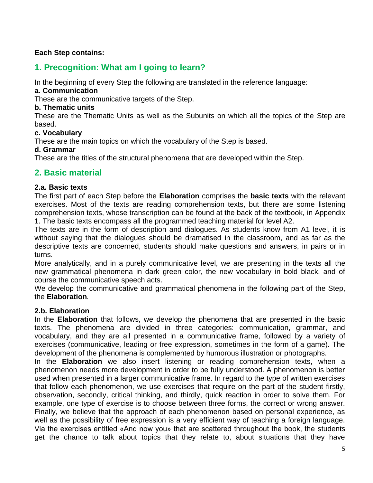### **Each Step contains:**

# **1. Precognition: What am I going to learn?**

In the beginning of every Step the following are translated in the reference language:

### **a. Communication**

These are the communicative targets of the Step.

### **b. Thematic units**

These are the Thematic Units as well as the Subunits on which all the topics of the Step are based.

### **c. Vocabulary**

These are the main topics on which the vocabulary of the Step is based.

### **d. Grammar**

These are the titles of the structural phenomena that are developed within the Step.

# **2. Basic material**

### **2.a. Βasic texts**

The first part of each Step before the **Elaboration** comprises the **basic texts** with the relevant exercises. Most of the texts are reading comprehension texts, but there are some listening comprehension texts, whose transcription can be found at the back of the textbook, in Appendix 1. The basic texts encompass all the programmed teaching material for level A2.

The texts are in the form of description and dialogues. As students know from A1 level, it is without saying that the dialogues should be dramatised in the classroom, and as far as the descriptive texts are concerned, students should make questions and answers, in pairs or in turns.

More analytically, and in a purely communicative level, we are presenting in the texts all the new grammatical phenomena in dark green color, the new vocabulary in bold black, and of course the communicative speech acts.

We develop the communicative and grammatical phenomena in the following part of the Step, the **Elaboration***.*

### **2.b. Εlaboration**

In the **Elaboration** that follows, we develop the phenomena that are presented in the basic texts. The phenomena are divided in three categories: communication, grammar, and vocabulary, and they are all presented in a communicative frame, followed by a variety of exercises (communicative, leading or free expression, sometimes in the form of a game). The development of the phenomena is complemented by humorous illustration or photographs.

In the **Elaboration** we also insert listening or reading comprehension texts, when a phenomenon needs more development in order to be fully understood. A phenomenon is better used when presented in a larger communicative frame. In regard to the type of written exercises that follow each phenomenon, we use exercises that require on the part of the student firstly, observation, secondly, critical thinking, and thirdly, quick reaction in order to solve them. For example, one type of exercise is to choose between three forms, the correct or wrong answer. Finally, we believe that the approach of each phenomenon based on personal experience, as well as the possibility of free expression is a very efficient way of teaching a foreign language. Via the exercises entitled «And now you» that are scattered throughout the book, the students get the chance to talk about topics that they relate to, about situations that they have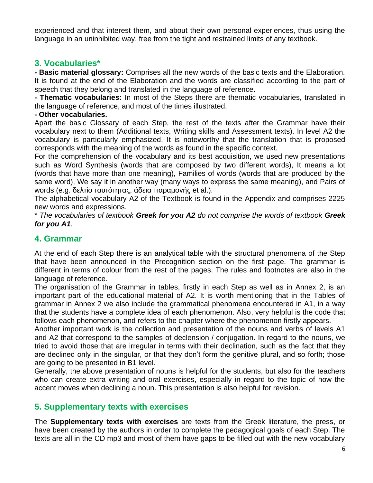experienced and that interest them, and about their own personal experiences, thus using the language in an uninhibited way, free from the tight and restrained limits of any textbook.

# **3. Vocabularies\***

**- Basic material glossary:** Comprises all the new words of the basic texts and the Elaboration. It is found at the end of the Elaboration and the words are classified according to the part of speech that they belong and translated in the language of reference.

**- Thematic vocabularies:** In most of the Steps there are thematic vocabularies, translated in the language of reference, and most of the times illustrated.

### **- Other vocabularies.**

Apart the basic Glossary of each Step, the rest of the texts after the Grammar have their vocabulary next to them (Additional texts, Writing skills and Assessment texts). In level A2 the vocabulary is particularly emphasized. It is noteworthy that the translation that is proposed corresponds with the meaning of the words as found in the specific context.

For the comprehension of the vocabulary and its best acquisition, we used new presentations such as Word Synthesis (words that are composed by two different words), It means a lot (words that have more than one meaning), Families of words (words that are produced by the same word), We say it in another way (many ways to express the same meaning), and Pairs of words (e.g. δελτίο ταυτότητας, άδεια παραμονής et al.).

The alphabetical vocabulary A2 of the Textbook is found in the Appendix and comprises 2225 new words and expressions.

\* *The vocabularies of textbook Greek for you A2 do not comprise the words of textbook Greek for you A1.*

# **4. Grammar**

At the end of each Step there is an analytical table with the structural phenomena of the Step that have been announced in the Precognition section on the first page. The grammar is different in terms of colour from the rest of the pages. The rules and footnotes are also in the language of reference.

The organisation of the Grammar in tables, firstly in each Step as well as in Annex 2, is an important part of the educational material of A2. It is worth mentioning that in the Tables of grammar in Annex 2 we also include the grammatical phenomena encountered in A1, in a way that the students have a complete idea of each phenomenon. Also, very helpful is the code that follows each phenomenon, and refers to the chapter where the phenomenon firstly appears.

Another important work is the collection and presentation of the nouns and verbs of levels A1 and A2 that correspond to the samples of declension / conjugation. In regard to the nouns, we tried to avoid those that are irregular in terms with their declination, such as the fact that they are declined only in the singular, or that they don't form the genitive plural, and so forth; those are going to be presented in B1 level.

Generally, the above presentation of nouns is helpful for the students, but also for the teachers who can create extra writing and oral exercises, especially in regard to the topic of how the accent moves when declining a noun. This presentation is also helpful for revision.

# **5. Supplementary texts with exercises**

The **Supplementary texts with exercises** are texts from the Greek literature, the press, or have been created by the authors in order to complete the pedagogical goals of each Step. The texts are all in the CD mp3 and most of them have gaps to be filled out with the new vocabulary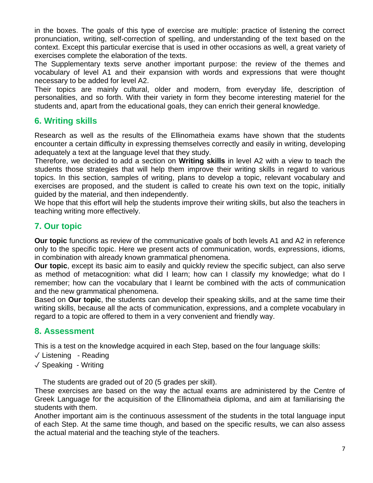in the boxes. The goals of this type of exercise are multiple: practice of listening the correct pronunciation, writing, self-correction of spelling, and understanding of the text based on the context. Except this particular exercise that is used in other occasions as well, a great variety of exercises complete the elaboration of the texts.

The Supplementary texts serve another important purpose: the review of the themes and vocabulary of level A1 and their expansion with words and expressions that were thought necessary to be added for level A2.

Their topics are mainly cultural, older and modern, from everyday life, description of personalities, and so forth. With their variety in form they become interesting materiel for the students and, apart from the educational goals, they can enrich their general knowledge.

# **6. Writing skills**

Research as well as the results of the Ellinomatheia exams have shown that the students encounter a certain difficulty in expressing themselves correctly and easily in writing, developing adequately a text at the language level that they study.

Therefore, we decided to add a section on **Writing skills** in level A2 with a view to teach the students those strategies that will help them improve their writing skills in regard to various topics. In this section, samples of writing, plans to develop a topic, relevant vocabulary and exercises are proposed, and the student is called to create his own text on the topic, initially guided by the material, and then independently.

We hope that this effort will help the students improve their writing skills, but also the teachers in teaching writing more effectively.

# **7. Our topic**

**Our topic** functions as review of the communicative goals of both levels A1 and A2 in reference only to the specific topic. Here we present acts of communication, words, expressions, idioms, in combination with already known grammatical phenomena.

**Our topic**, except its basic aim to easily and quickly review the specific subject, can also serve as method of metacognition: what did I learn; how can I classify my knowledge; what do I remember; how can the vocabulary that I learnt be combined with the acts of communication and the new grammatical phenomena.

Based on **Our topic**, the students can develop their speaking skills, and at the same time their writing skills, because all the acts of communication, expressions, and a complete vocabulary in regard to a topic are offered to them in a very convenient and friendly way.

# **8. Assessment**

This is a test on the knowledge acquired in each Step, based on the four language skills:

- ✓ Listening Reading
- ✓ Speaking Writing

The students are graded out of 20 (5 grades per skill).

These exercises are based on the way the actual exams are administered by the Centre of Greek Language for the acquisition of the Ellinomatheia diploma, and aim at familiarising the students with them.

Another important aim is the continuous assessment of the students in the total language input of each Step. At the same time though, and based on the specific results, we can also assess the actual material and the teaching style of the teachers.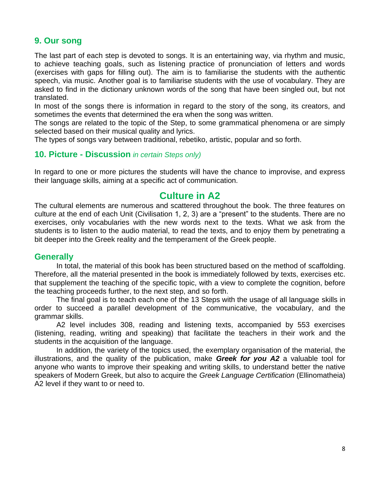# **9. Our song**

The last part of each step is devoted to songs. It is an entertaining way, via rhythm and music, to achieve teaching goals, such as listening practice of pronunciation of letters and words (exercises with gaps for filling out). The aim is to familiarise the students with the authentic speech, via music. Another goal is to familiarise students with the use of vocabulary. They are asked to find in the dictionary unknown words of the song that have been singled out, but not translated.

In most of the songs there is information in regard to the story of the song, its creators, and sometimes the events that determined the era when the song was written.

The songs are related to the topic of the Step, to some grammatical phenomena or are simply selected based on their musical quality and lyrics.

The types of songs vary between traditional, rebetiko, artistic, popular and so forth.

### **10. Picture - Discussion** *in certain Steps only)*

In regard to one or more pictures the students will have the chance to improvise, and express their language skills, aiming at a specific act of communication.

# **Culture in A2**

The cultural elements are numerous and scattered throughout the book. The three features on culture at the end of each Unit (Civilisation 1, 2, 3) are a "present" to the students. There are no exercises, only vocabularies with the new words next to the texts. What we ask from the students is to listen to the audio material, to read the texts, and to enjoy them by penetrating a bit deeper into the Greek reality and the temperament of the Greek people.

### **Generally**

In total, the material of this book has been structured based on the method of scaffolding. Therefore, all the material presented in the book is immediately followed by texts, exercises etc. that supplement the teaching of the specific topic, with a view to complete the cognition, before the teaching proceeds further, to the next step, and so forth.

The final goal is to teach each one of the 13 Steps with the usage of all language skills in order to succeed a parallel development of the communicative, the vocabulary, and the grammar skills.

A2 level includes 308, reading and listening texts, accompanied by 553 exercises (listening, reading, writing and speaking) that facilitate the teachers in their work and the students in the acquisition of the language.

In addition, the variety of the topics used, the exemplary organisation of the material, the illustrations, and the quality of the publication, make *Greek for you A2* a valuable tool for anyone who wants to improve their speaking and writing skills, to understand better the native speakers of Modern Greek, but also to acquire the *Greek Language Certification* (Ellinomatheia) A2 level if they want to or need to.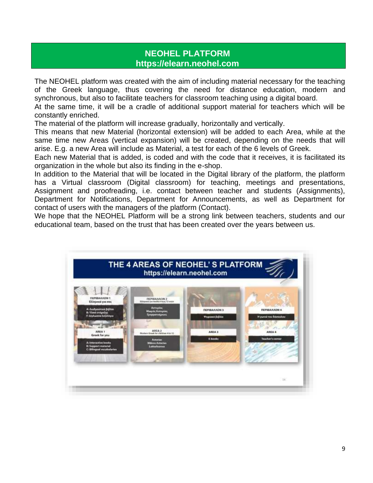# **NEOHEL PLATFORM https://elearn.neohel.com**

The NEOHEL platform was created with the aim of including material necessary for the teaching of the Greek language, thus covering the need for distance education, modern and synchronous, but also to facilitate teachers for classroom teaching using a digital board.

At the same time, it will be a cradle of additional support material for teachers which will be constantly enriched.

The material of the platform will increase gradually, horizontally and vertically.

This means that new Material (horizontal extension) will be added to each Area, while at the same time new Areas (vertical expansion) will be created, depending on the needs that will arise. E.g. a new Area will include as Material, a test for each of the 6 levels of Greek.

Each new Material that is added, is coded and with the code that it receives, it is facilitated its organization in the whole but also its finding in the e-shop.

In addition to the Material that will be located in the Digital library of the platform, the platform has a Virtual classroom (Digital classroom) for teaching, meetings and presentations, Assignment and proofreading, i.e. contact between teacher and students (Assignments), Department for Notifications, Department for Announcements, as well as Department for contact of users with the managers of the platform (Contact).

We hope that the NEOHEL Platform will be a strong link between teachers, students and our educational team, based on the trust that has been created over the years between us.

| <b><i>REPSANNON 1</i></b><br>Ελληνικά για σας                                     | <b>REPIBAAAON 2</b><br>Eldquest you needed 4 por, 13 moist |                            |                      |
|-----------------------------------------------------------------------------------|------------------------------------------------------------|----------------------------|----------------------|
| Α: Διαδροστικά βιβλικ<br>8: Yhren avrigative                                      | <b>Antipiac</b><br>Мирос Астаров;<br><b>Гранциповрымс</b>  | <b><i>REPISANNON 3</i></b> | <b>DEPIRAAAON 4</b>  |
| Γ: Δίγλωσσα λεξιλόγια                                                             |                                                            | <b>Virginisch (Edition</b> | Η γωνιά του δάσκαλου |
| $\overline{\phantom{a}}$<br>AREA 1<br>Greek for you                               | AREA <sub>2</sub><br>Madern Great for children Ara 12      | AREA 3                     | AREA 4               |
| A: Interactive hooks<br><b>B: Support mitterial</b><br>C: Billingual vocabularies | Automias<br><b>Makros Actertias</b><br><b>Letterheroes</b> | E-books                    | Teacher's corner     |
|                                                                                   |                                                            |                            |                      |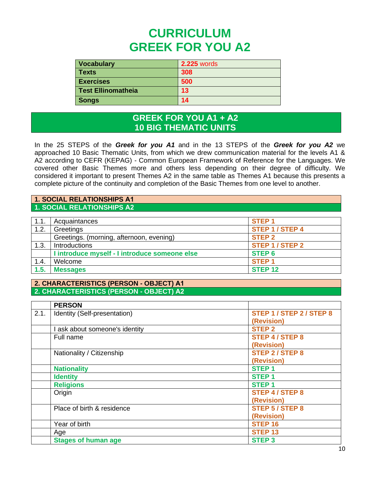# **CURRICULUM GREEK FOR YOU A2**

| <b>Vocabulary</b>         | <b>2.225 words</b> |
|---------------------------|--------------------|
| <b>Texts</b>              | 308                |
| <b>Exercises</b>          | 500                |
| <b>Test Ellinomatheia</b> | 13                 |
| <b>Songs</b>              | 14                 |

### **GREEK FOR YOU Α1 + Α2 10 BIG THEMATIC UNITS**

In the 25 STEPS of the *Greek for you A1* and in the 13 STEPS of the *Greek for you A2* we approached 10 Basic Thematic Units, from which we drew communication material for the levels A1 & A2 according to CEFR (KEPAG) - Common European Framework of Reference for the Languages. We covered other Basic Themes more and others less depending on their degree of difficulty. We considered it important to present Themes A2 in the same table as Themes A1 because this presents a complete picture of the continuity and completion of the Basic Themes from one level to another.

#### **1. SOCIAL RELATIONSHIPS Α1 1. SOCIAL RELATIONSHIPS Α2**

| 1.1. | Acquaintances                                 | STEP <sub>1</sub>      |
|------|-----------------------------------------------|------------------------|
| 1.2. | Greetings                                     | <b>STEP 1 / STEP 4</b> |
|      | Greetings. (morning, afternoon, evening)      | STEP <sub>2</sub>      |
| 1.3. | Introductions                                 | STEP 1 / STEP 2        |
|      | I introduce myself - I introduce someone else | <b>STEP 6</b>          |
| 1.4. | Welcome                                       | <b>STEP1</b>           |
| 1.5. | <b>Messages</b>                               | <b>STEP 12</b>         |

**2. CHARACTERISTICS (PERSON - OBJECT) Α1 2. CHARACTERISTICS (PERSON - OBJECT) Α2**

|      | <b>PERSON</b>                  |                          |
|------|--------------------------------|--------------------------|
| 2.1. | Identity (Self-presentation)   | STEP 1 / STEP 2 / STEP 8 |
|      |                                | (Revision)               |
|      | I ask about someone's identity | <b>STEP 2</b>            |
|      | Full name                      | <b>STEP 4 / STEP 8</b>   |
|      |                                | (Revision)               |
|      | Nationality / Citizenship      | <b>STEP 2 / STEP 8</b>   |
|      |                                | (Revision)               |
|      | <b>Nationality</b>             | <b>STEP1</b>             |
|      | <b>Identity</b>                | <b>STEP1</b>             |
|      | <b>Religions</b>               | <b>STEP1</b>             |
|      | Origin                         | <b>STEP 4 / STEP 8</b>   |
|      |                                | (Revision)               |
|      | Place of birth & residence     | <b>STEP 5 / STEP 8</b>   |
|      |                                | (Revision)               |
|      | Year of birth                  | <b>STEP 16</b>           |
|      | Age                            | <b>STEP 13</b>           |
|      | <b>Stages of human age</b>     | <b>STEP 3</b>            |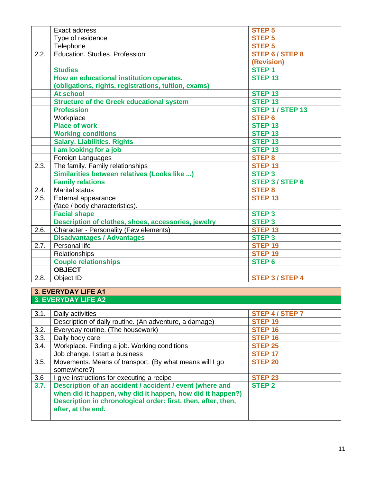|      | <b>Exact address</b>                                 | <b>STEP 5</b>          |
|------|------------------------------------------------------|------------------------|
|      | Type of residence                                    | <b>STEP 5</b>          |
|      | Telephone                                            | <b>STEP 5</b>          |
| 2.2. | Education. Studies. Profession                       | STEP 6 / STEP 8        |
|      |                                                      | (Revision)             |
|      | <b>Studies</b>                                       | <b>STEP1</b>           |
|      | How an educational institution operates.             | STEP <sub>13</sub>     |
|      | (obligations, rights, registrations, tuition, exams) |                        |
|      | <b>At school</b>                                     | <b>STEP 13</b>         |
|      | <b>Structure of the Greek educational system</b>     | <b>STEP 13</b>         |
|      | <b>Profession</b>                                    | STEP 1 / STEP 13       |
|      | Workplace                                            | STEP 6                 |
|      | <b>Place of work</b>                                 | <b>STEP 13</b>         |
|      | <b>Working conditions</b>                            | <b>STEP 13</b>         |
|      | <b>Salary. Liabilities. Rights</b>                   | <b>STEP 13</b>         |
|      | I am looking for a job                               | <b>STEP 13</b>         |
|      | Foreign Languages                                    | <b>STEP 8</b>          |
| 2.3. | The family. Family relationships                     | <b>STEP 13</b>         |
|      | Similarities between relatives (Looks like )         | <b>STEP 3</b>          |
|      | <b>Family relations</b>                              | <b>STEP 3/STEP 6</b>   |
| 2.4. | <b>Marital status</b>                                | <b>STEP 8</b>          |
| 2.5. | External appearance                                  | <b>STEP 13</b>         |
|      | (face / body characteristics).                       |                        |
|      | <b>Facial shape</b>                                  | STEP <sub>3</sub>      |
|      | Description of clothes, shoes, accessories, jewelry  | <b>STEP 3</b>          |
| 2.6. | Character - Personality (Few elements)               | <b>STEP 13</b>         |
|      | <b>Disadvantages / Advantages</b>                    | STEP <sub>3</sub>      |
| 2.7. | Personal life                                        | <b>STEP 19</b>         |
|      | Relationships                                        | <b>STEP 19</b>         |
|      | <b>Couple relationships</b>                          | <b>STEP 6</b>          |
|      | <b>OBJECT</b>                                        |                        |
| 2.8. | Object ID                                            | <b>STEP 3 / STEP 4</b> |

#### **3**. **EVERYDAY LIFE Α1 3**. **EVERYDAY LIFE Α2**

| 3.1. | Daily activities                                                                                                                                                                                              | STEP 4 / STEP 7 |
|------|---------------------------------------------------------------------------------------------------------------------------------------------------------------------------------------------------------------|-----------------|
|      | Description of daily routine. (An adventure, a damage)                                                                                                                                                        | <b>STEP 19</b>  |
| 3.2. | Everyday routine. (The housework)                                                                                                                                                                             | <b>STEP 16</b>  |
| 3.3. | Daily body care                                                                                                                                                                                               | <b>STEP 16</b>  |
| 3.4. | Workplace. Finding a job. Working conditions                                                                                                                                                                  | <b>STEP 25</b>  |
|      | Job change. I start a business                                                                                                                                                                                | <b>STEP 17</b>  |
| 3.5. | Movements. Means of transport. (By what means will I go<br>somewhere?)                                                                                                                                        | <b>STEP 20</b>  |
| 3.6  | I give instructions for executing a recipe                                                                                                                                                                    | <b>STEP 23</b>  |
| 3.7. | Description of an accident / accident / event (where and<br>when did it happen, why did it happen, how did it happen?)<br>Description in chronological order: first, then, after, then,<br>after, at the end. | <b>STEP 2</b>   |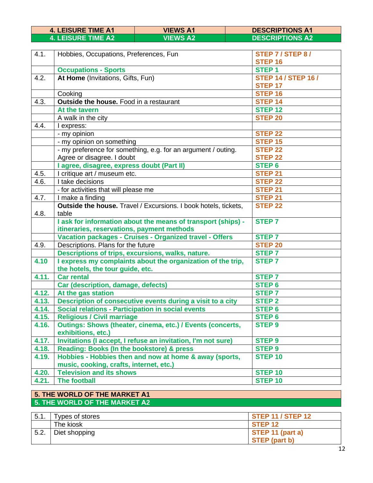|       | <b>4. LEISURE TIME A1</b>                         | <b>VIEWS A1</b>                                                 | <b>DESCRIPTIONS A1</b>     |
|-------|---------------------------------------------------|-----------------------------------------------------------------|----------------------------|
|       | 4. LEISURE TIME A2                                | <b>VIEWS A2</b>                                                 | <b>DESCRIPTIONS A2</b>     |
|       |                                                   |                                                                 |                            |
| 4.1.  | Hobbies, Occupations, Preferences, Fun            |                                                                 | STEP 7 / STEP 8 /          |
|       |                                                   |                                                                 | <b>STEP 16</b>             |
|       | <b>Occupations - Sports</b>                       |                                                                 | STEP <sub>1</sub>          |
| 4.2.  | At Home (Invitations, Gifts, Fun)                 |                                                                 | <b>STEP 14 / STEP 16 /</b> |
|       |                                                   |                                                                 | <b>STEP 17</b>             |
|       | Cooking                                           |                                                                 | <b>STEP 16</b>             |
| 4.3.  | Outside the house. Food in a restaurant           |                                                                 | <b>STEP 14</b>             |
|       | At the tavern                                     |                                                                 | <b>STEP 12</b>             |
|       | A walk in the city                                |                                                                 | <b>STEP 20</b>             |
| 4.4.  | I express:                                        |                                                                 |                            |
|       | - my opinion                                      |                                                                 | <b>STEP 22</b>             |
|       | - my opinion on something                         |                                                                 | <b>STEP 15</b>             |
|       |                                                   | - my preference for something, e.g. for an argument / outing.   | <b>STEP 22</b>             |
|       | Agree or disagree. I doubt                        |                                                                 | <b>STEP 22</b>             |
|       | I agree, disagree, express doubt (Part II)        |                                                                 | <b>STEP 6</b>              |
| 4.5.  | I critique art / museum etc.                      |                                                                 | <b>STEP 21</b>             |
| 4.6.  | I take decisions                                  |                                                                 | <b>STEP 22</b>             |
|       | - for activities that will please me              |                                                                 | <b>STEP 21</b>             |
| 4.7.  | I make a finding                                  |                                                                 | <b>STEP 21</b>             |
|       |                                                   | Outside the house. Travel / Excursions. I book hotels, tickets, | <b>STEP 22</b>             |
| 4.8.  | table                                             |                                                                 |                            |
|       |                                                   | I ask for information about the means of transport (ships) -    | <b>STEP7</b>               |
|       | itineraries, reservations, payment methods        |                                                                 |                            |
|       |                                                   | <b>Vacation packages - Cruises - Organized travel - Offers</b>  | <b>STEP 7</b>              |
| 4.9.  | Descriptions. Plans for the future                |                                                                 | <b>STEP 20</b>             |
|       |                                                   | Descriptions of trips, excursions, walks, nature.               | <b>STEP 7</b>              |
| 4.10  |                                                   | I express my complaints about the organization of the trip,     | <b>STEP 7</b>              |
|       | the hotels, the tour guide, etc.                  |                                                                 |                            |
| 4.11. | <b>Car rental</b>                                 |                                                                 | <b>STEP7</b>               |
|       | Car (description, damage, defects)                |                                                                 | <b>STEP 6</b>              |
| 4.12. | At the gas station                                |                                                                 | <b>STEP 7</b>              |
| 4.13. |                                                   | Description of consecutive events during a visit to a city      | <b>STEP 2</b>              |
| 4.14. | Social relations - Participation in social events |                                                                 | <b>STEP 6</b>              |
| 4.15. | <b>Religious / Civil marriage</b>                 |                                                                 | <b>STEP 6</b>              |
| 4.16. |                                                   | Outings: Shows (theater, cinema, etc.) / Events (concerts,      | <b>STEP 9</b>              |
|       | exhibitions, etc.)                                |                                                                 |                            |
| 4.17. |                                                   | Invitations (I accept, I refuse an invitation, I'm not sure)    | <b>STEP 9</b>              |
| 4.18. | Reading: Books (In the bookstore) & press         |                                                                 | <b>STEP 9</b>              |
| 4.19. |                                                   | Hobbies - Hobbies then and now at home & away (sports,          | <b>STEP 10</b>             |
|       | music, cooking, crafts, internet, etc.)           |                                                                 |                            |
| 4.20. | <b>Television and its shows</b>                   |                                                                 | <b>STEP 10</b>             |
| 4.21. | <b>The football</b>                               |                                                                 | <b>STEP 10</b>             |

#### **5. THE WORLD OF THE MARKET Α1 5. THE WORLD OF THE MARKET Α2**

| 5.1. | Types of stores | <b>STEP 11 / STEP 12</b> |
|------|-----------------|--------------------------|
|      | The kiosk       | STEP <sub>12</sub>       |
| 5.2. | Diet shopping   | STEP 11 (part a)         |
|      |                 | <b>STEP</b> (part b)     |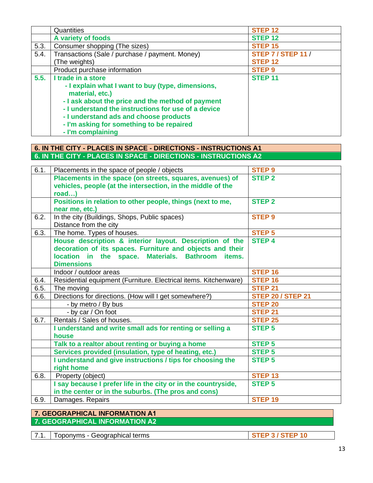|      | Quantities                                                                                               | <b>STEP 12</b>            |
|------|----------------------------------------------------------------------------------------------------------|---------------------------|
|      | A variety of foods                                                                                       | <b>STEP 12</b>            |
| 5.3. | Consumer shopping (The sizes)                                                                            | <b>STEP 15</b>            |
| 5.4. | Transactions (Sale / purchase / payment. Money)                                                          | <b>STEP 7 / STEP 11 /</b> |
|      | (The weights)                                                                                            | <b>STEP 12</b>            |
|      | Product purchase information                                                                             | <b>STEP 9</b>             |
| 5.5. | I trade in a store                                                                                       | <b>STEP 11</b>            |
|      | - I explain what I want to buy (type, dimensions,<br>material, etc.)                                     |                           |
|      | - I ask about the price and the method of payment<br>- I understand the instructions for use of a device |                           |
|      | - I understand ads and choose products<br>- I'm asking for something to be repaired<br>- I'm complaining |                           |
|      |                                                                                                          |                           |

#### **6. IN THE CITY - PLACES IN SPACE - DIRECTIONS - INSTRUCTIONS Α1 6. IN THE CITY - PLACES IN SPACE - DIRECTIONS - INSTRUCTIONS Α2**

| 6.1. | Placements in the space of people / objects                      | <b>STEP 9</b>            |
|------|------------------------------------------------------------------|--------------------------|
|      | Placements in the space (on streets, squares, avenues) of        | <b>STEP 2</b>            |
|      | vehicles, people (at the intersection, in the middle of the      |                          |
|      | road                                                             |                          |
|      | Positions in relation to other people, things (next to me,       | <b>STEP 2</b>            |
|      | near me, etc.)                                                   |                          |
| 6.2. | In the city (Buildings, Shops, Public spaces)                    | <b>STEP 9</b>            |
|      | Distance from the city                                           |                          |
| 6.3. | The home. Types of houses.                                       | <b>STEP 5</b>            |
|      | House description & interior layout. Description of the          | <b>STEP 4</b>            |
|      | decoration of its spaces. Furniture and objects and their        |                          |
|      | location in the space. Materials. Bathroom<br>items.             |                          |
|      | <b>Dimensions</b>                                                |                          |
|      | Indoor / outdoor areas                                           | STEP <sub>16</sub>       |
| 6.4. | Residential equipment (Furniture. Electrical items. Kitchenware) | <b>STEP 16</b>           |
| 6.5. | The moving                                                       | <b>STEP 21</b>           |
| 6.6. | Directions for directions. (How will I get somewhere?)           | <b>STEP 20 / STEP 21</b> |
|      | - by metro / By bus                                              | <b>STEP 20</b>           |
|      | - by car / On foot                                               | <b>STEP 21</b>           |
| 6.7. | Rentals / Sales of houses.                                       | <b>STEP 25</b>           |
|      | I understand and write small ads for renting or selling a        | <b>STEP 5</b>            |
|      | house                                                            |                          |
|      | Talk to a realtor about renting or buying a home                 | <b>STEP 5</b>            |
|      | Services provided (insulation, type of heating, etc.)            | <b>STEP 5</b>            |
|      | I understand and give instructions / tips for choosing the       | <b>STEP 5</b>            |
|      | right home                                                       |                          |
| 6.8. | Property (object)                                                | <b>STEP 13</b>           |
|      | I say because I prefer life in the city or in the countryside,   | <b>STEP 5</b>            |
|      | in the center or in the suburbs. (The pros and cons)             |                          |
| 6.9. | Damages. Repairs                                                 | <b>STEP 19</b>           |
|      |                                                                  |                          |

#### **7. GEOGRAPHICAL INFORMATION Α1 7. GEOGRAPHICAL INFORMATION Α2**

 7.1. Toponyms - Geographical terms **STEP 3 / STEP 10**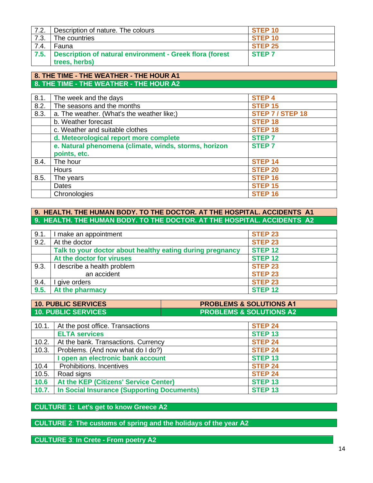| 7.2. | Description of nature. The colours                            | STEP <sub>10</sub> |
|------|---------------------------------------------------------------|--------------------|
| 7.3. | The countries                                                 | STEP <sub>10</sub> |
| 7.4. | Fauna                                                         | <b>STEP 25</b>     |
|      | 7.5. Description of natural environment - Greek flora (forest | <b>STEP7</b>       |
|      | trees, herbs)                                                 |                    |

#### **8. THE TIME - THE WEATHER - THE HOUR Α1 8. THE TIME - THE WEATHER - THE HOUR Α2**

| 8.1. | The week and the days                                 | <b>STEP4</b>       |
|------|-------------------------------------------------------|--------------------|
| 8.2. | The seasons and the months                            | <b>STEP 15</b>     |
| 8.3. | a. The weather. (What's the weather like;)            | STEP 7 / STEP 18   |
|      | b. Weather forecast                                   | STEP <sub>18</sub> |
|      | c. Weather and suitable clothes                       | <b>STEP 18</b>     |
|      | d. Meteorological report more complete                | <b>STEP7</b>       |
|      | e. Natural phenomena (climate, winds, storms, horizon | <b>STEP7</b>       |
|      | points, etc.                                          |                    |
| 8.4. | The hour                                              | <b>STEP 14</b>     |
|      | Hours                                                 | <b>STEP 20</b>     |
| 8.5. | The years                                             | <b>STEP 16</b>     |
|      | Dates                                                 | <b>STEP 15</b>     |
|      | Chronologies                                          | <b>STEP 16</b>     |

### **9. HEALTH. THE HUMAN BODY. TO THE DOCTOR. AT THE HOSPITAL. ACCIDENTS Α1 9. HEALTH. THE HUMAN BODY. TO THE DOCTOR. AT THE HOSPITAL. ACCIDENTS Α2**

| 9.1. | I make an appointment                                     | <b>STEP 23</b>     |
|------|-----------------------------------------------------------|--------------------|
| 9.2. | At the doctor                                             | <b>STEP 23</b>     |
|      | Talk to your doctor about healthy eating during pregnancy | <b>STEP 12</b>     |
|      | At the doctor for viruses                                 | <b>STEP 12</b>     |
| 9.3. | I describe a health problem                               | STEP <sub>23</sub> |
|      | an accident                                               | <b>STEP 23</b>     |
| 9.4. | give orders                                               | <b>STEP 23</b>     |
| 9.5. | At the pharmacy                                           | <b>STEP 12</b>     |

| <b>10. PUBLIC SERVICES</b> | <b>PROBLEMS &amp; SOLUTIONS A1</b> |
|----------------------------|------------------------------------|
| <b>10. PUBLIC SERVICES</b> | <b>PROBLEMS &amp; SOLUTIONS A2</b> |

| 10.1. | At the post office. Transactions           | <b>STEP 24</b>     |
|-------|--------------------------------------------|--------------------|
|       | <b>ELTA services</b>                       | STEP <sub>13</sub> |
| 10.2. | At the bank. Transactions. Currency        | <b>STEP 24</b>     |
| 10.3. | Problems. (And now what do I do?)          | <b>STEP 24</b>     |
|       | I open an electronic bank account          | STEP <sub>13</sub> |
| 10.4  | Prohibitions. Incentives                   | <b>STEP 24</b>     |
| 10.5. | Road signs                                 | <b>STEP 24</b>     |
| 10.6  | At the KEP (Citizens' Service Center)      | STEP <sub>13</sub> |
| 10.7. | In Social Insurance (Supporting Documents) | STEP <sub>13</sub> |

### **CULTURE 1: Let's get to know Greece Α2**

### **CULTURE 2**: **The customs of spring and the holidays of the year Α2**

#### **CULTURE 3**: **In Crete - From poetry Α2**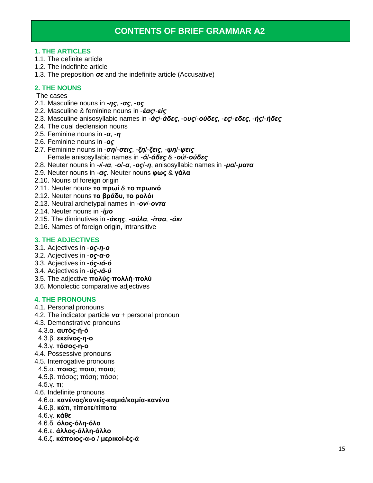# **CONTENTS OF BRIEF GRAMMAR Α2**

#### **1. THE ARTICLES**

- 1.1. The definite article
- 1.2. The indefinite article
- 1.3. The preposition *σε* and the indefinite article (Accusative)

#### **2. THE NOUNS**

#### The cases

- 2.1. Masculine nouns in -*ης*, -*ας*, -*ος*
- 2.2. Masculine & feminine nouns in -*έας*/-*είς*
- 2.3. Masculine anisosyllabic names in -*άς*/-*άδες*, -ο*υς*/-*ούδες*, -*ες*/-*εδες*, -*ής*/-*ήδες*
- 2.4. The dual declension nouns
- 2.5. Feminine nouns in -*α*, -*η*
- 2.6. Feminine nouns in -*ος*
- 2.7. Feminine nouns in -*ση*/-*σεις*, -*ξη*/-*ξεις*, -*ψη*/-*ψεις* Female anisosyllabic names in -*ά*/-*άδες* & -*ού*/-*ούδες*
- 2.8. Neuter nouns in -*ι*/-*ια*, -*ο*/-*α*, -*ος*/-*η*, anisosyllabic names in -*μα*/-*ματα*
- 2.9. Neuter nouns in -*ας*. Neuter nouns **φως** & **γάλα**
- 2.10. Nouns of foreign origin
- 2.11. Neuter nouns **το πρωί** & **το πρωινό**
- 2.12. Neuter nouns **το βράδυ**, **το ρολόι**
- 2.13. Neutral archetypal names in -*ον*/-*οντα*
- 2.14. Neuter nouns in -*ίμο*
- 2.15. The diminutives in -*άκης*, -*ούλα*, -*ίτσα*, -*άκι*
- 2.16. Names of foreign origin, intransitive

#### **3. THE ADJECTIVES**

- 3.1. Adjectives in -*ος-η-ο*
- 3.2. Adjectives in -*ος-α-ο*
- 3.3. Adjectives in -*ός-ιά-ό*
- 3.4. Adjectives in -*ύς-ιά-ύ*
- 3.5. The adjective **πολύς**-**πολλή**-**πολύ**
- 3.6. Monolectic comparative adjectives

#### **4. THE PRONOUNS**

- 4.1. Personal pronouns
- 4.2. The indicator particle *να* + personal pronoun
- 4.3. Demonstrative pronouns
- 4.3.α. **αυτός-ή-ό**
- 4.3.β. **εκείνος-η-ο**
- 4.3.γ. **τόσος-η-ο**
- 4.4. Possessive pronouns
- 4.5. Interrogative pronouns
- 4.5.α. **ποιος**; **ποια**; **ποιο**;
- 4.5.β. πόσος; πόση; πόσο;
- 4.5.γ. **τι**;
- 4.6. Indefinite pronouns
- 4.6.α. **κανένας**/**κανείς**-**καμιά**/**καμία**-**κανένα**
- 4.6.β. **κάτι**, **τίποτε**/**τίποτα**
- 4.6.γ. **κάθε**
- 4.6.δ. **όλος-όλη-όλο**
- 4.6.ε. **άλλος-άλλη-άλλο**
- 4.6.ζ. **κάποιος-α-ο** / **μερικοί-ές-ά**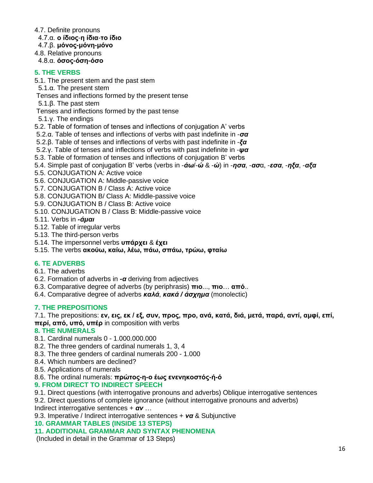4.7. Definite pronouns

- 4.7.α. **ο ίδιος**-**η ίδια**-**το ίδιο**
- 4.7.β. **μόνος-μόνη-μόνο**
- 4.8. Relative pronouns

### 4.8.α. **όσος-όση-όσο**

### **5. THE VERBS**

- 5.1. The present stem and the past stem
- 5.1.α. The present stem
- Tenses and inflections formed by the present tense
- 5.1.β. The past stem
- Tenses and inflections formed by the past tense
- 5.1.γ. The endings
- 5.2. Table of formation of tenses and inflections of conjugation A' verbs
- 5.2.α. Table of tenses and inflections of verbs with past indefinite in -*σα*
- 5.2.β. Table of tenses and inflections of verbs with past indefinite in -*ξα*
- 5.2.γ. Table of tenses and inflections of verbs with past indefinite in -*ψα*
- 5.3. Table of formation of tenses and inflections of conjugation B' verbs
- 5.4. Simple past of conjugation B' verbs (verbs in -*άω*/-*ώ* & -*ώ*) in -*ησα*, -*ασ*α, -*εσα*, -*ηξα*, -*αξα*
- 5.5. CONJUGATION A: Active voice
- 5.6. CONJUGATION A: Middle-passive voice
- 5.7. CONJUGATION B / Class Α: Active voice
- 5.8. CONJUGATION B/ Class Α: Middle-passive voice
- 5.9. CONJUGATION B / Class Β: Active voice
- 5.10. CONJUGATION B / Class Β: Middle-passive voice
- 5.11. Verbs in *-άμαι*
- 5.12. Table of irregular verbs
- 5.13. The third-person verbs
- 5.14. The impersonnel verbs **υπάρχει** & **έχει**
- 5.15. The verbs **ακούω, καίω, λέω, πάω, σπάω, τρώω, φταίω**

### **6. TE ADVERBS**

- 6.1. The adverbs
- 6.2. Formation of adverbs in *-α* deriving from adjectives
- 6.3. Comparative degree of adverbs (by periphrasis) **πιο**..., **πιο**… **από**..
- 6.4. Comparative degree of adverbs *καλά*, *κακά / άσχημα* (monolectic)

### **7. THE PREPOSITIONS**

7.1. The prepositions: **εν, εις, εκ / εξ, συν, προς, προ, ανά, κατά, διά, μετά, παρά, αντί, αμφί, επί, περί, από, υπό, υπέρ** in composition with verbs

### **8. THE NUMERALS**

- 8.1. Cardinal numerals 0 1.000.000.000
- 8.2. The three genders of cardinal numerals 1, 3, 4
- 8.3. The three genders of cardinal numerals 200 1.000
- 8.4. Which numbers are declined?
- 8.5. Applications of numerals
- 8.6. The ordinal numerals: **πρώτος-η-ο έως ενενηκοστός-ή-ό**

### **9. FROM DIRECT TO INDIRECT SPEECH**

9.1. Direct questions (with interrogative pronouns and adverbs) Oblique interrogative sentences

9.2. Direct questions of complete ignorance (without interrogative pronouns and adverbs) Indirect interrogative sentences + *αν* …

9.3. Imperative / Indirect interrogative sentences + *να* & Subjunctive

#### **10. GRAMMAR TABLES (INSIDE 13 STEPS)**

### **11. ADDITIONAL GRAMMAR AND SYNTAX PHENOMENA**

(Included in detail in the Grammar of 13 Steps)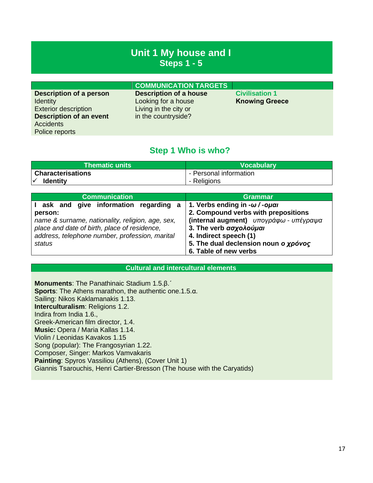# **Unit 1 My house and I Steps 1 - 5**

|                                | <b>COMMUNICATION TARGETS</b>  |                       |
|--------------------------------|-------------------------------|-----------------------|
| <b>Description of a person</b> | <b>Description of a house</b> | <b>Civilisation 1</b> |
| <b>Identity</b>                | Looking for a house           | <b>Knowing Greece</b> |
| <b>Exterior description</b>    | Living in the city or         |                       |
| <b>Description of an event</b> | in the countryside?           |                       |
| <b>Accidents</b>               |                               |                       |
| Police reports                 |                               |                       |

# **Step 1 Who is who?**

| <b>Thematic units</b>    | <b>Vocabulary</b>      |
|--------------------------|------------------------|
| <b>Characterisations</b> | - Personal information |
| <b>Identity</b>          | - Religions            |

| <b>Communication</b>                             | Grammar                                  |
|--------------------------------------------------|------------------------------------------|
| I ask and give information regarding a           | 1. Verbs ending in $-\omega$ / $-\omega$ |
| person:                                          | 2. Compound verbs with prepositions      |
| name & surname, nationality, religion, age, sex, | (internal augment) υπογράφω - υπέγραψα   |
| place and date of birth, place of residence,     | 3. The verb ασχολούμαι                   |
| address, telephone number, profession, marital   | 4. Indirect speech (1)                   |
| status                                           | 5. The dual declension noun o xpóvos     |
|                                                  | 6. Table of new verbs                    |

**Cultural and intercultural elements** 

**Monuments**: The Panathinaic Stadium 1.5.β.΄ **Sports**: The Athens marathon, the authentic one.1.5.α. Sailing: Nikos Kaklamanakis 1.13. **Interculturalism**: Religions 1.2. Indira from India 1.6., Greek-American film director, 1.4. **Music:** Opera / Maria Kallas 1.14. Violin / Leonidas Kavakos 1.15 Song (popular): The Frangosyrian 1.22. Composer, Singer: Markos Vamvakaris **Painting**: Spyros Vassiliou (Athens), (Cover Unit 1) Giannis Tsarouchis, Henri Cartier-Bresson (The house with the Caryatids)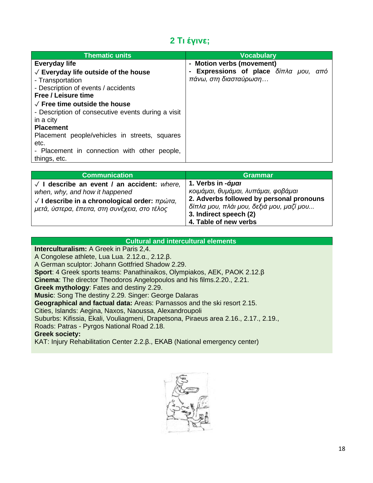# **2 Τι έγινε;**

| <b>Thematic units</b>                              | <b>Vocabulary</b>                     |
|----------------------------------------------------|---------------------------------------|
| Everyday life                                      | - Motion verbs (movement)             |
| $\sqrt{\ }$ Everyday life outside of the house     | - Expressions of place δίπλα μου, από |
| - Transportation                                   | πάνω, στη διασταύρωση                 |
| - Description of events / accidents                |                                       |
| Free / Leisure time                                |                                       |
| $\sqrt{2}$ Free time outside the house             |                                       |
| - Description of consecutive events during a visit |                                       |
| in a city                                          |                                       |
| <b>Placement</b>                                   |                                       |
| Placement people/vehicles in streets, squares      |                                       |
| etc.                                               |                                       |
| - Placement in connection with other people,       |                                       |
| things, etc.                                       |                                       |
|                                                    |                                       |

| <b>Communication</b>                                                                                                                                                                                                    | <b>Grammar</b>                                                                                                                                                                                             |
|-------------------------------------------------------------------------------------------------------------------------------------------------------------------------------------------------------------------------|------------------------------------------------------------------------------------------------------------------------------------------------------------------------------------------------------------|
| $\sqrt{ }$ I describe an event / an accident: where,<br>when, why, and how it happened<br>$\sqrt{1}$ describe in a chronological order: $\pi \rho \omega \pi \alpha$ ,<br>μετά, ύστερα, έπειτα, στη συνέχεια, στο τέλος | 1. Verbs in <i>-άμαι</i><br>κοιμάμαι, θυμάμαι, λυπάμαι, φοβάμαι<br>2. Adverbs followed by personal pronouns<br>δίπλα μου, πλάι μου, δεξιά μου, μαζί μου<br>3. Indirect speech (2)<br>4. Table of new verbs |

**Cultural and intercultural elements**

**Interculturalism:** A Greek in Paris 2,4.

A Congolese athlete, Lua Lua. 2.12.α., 2.12.β.

A German sculptor: Johann Gottfried Shadow 2.29.

**Sport**: 4 Greek sports teams: Panathinaikos, Olympiakos, AEK, PAOK 2.12.β

**Cinema**: The director Theodoros Angelopoulos and his films.2.20., 2.21.

**Greek mythology**: Fates and destiny 2.29.

**Music**: Song The destiny 2.29. Singer: George Dalaras

**Geographical and factual data:** Areas: Parnassos and the ski resort 2.15.

Cities, Islands: Aegina, Naxos, Naoussa, Alexandroupoli

Suburbs: Kifissia, Ekali, Vouliagmeni, Drapetsona, Piraeus area 2.16., 2.17., 2.19.,

Roads: Patras - Pyrgos National Road 2.18.

#### **Greek society:**

KAT: Injury Rehabilitation Center 2.2.β., ΕΚΑΒ (National emergency center)

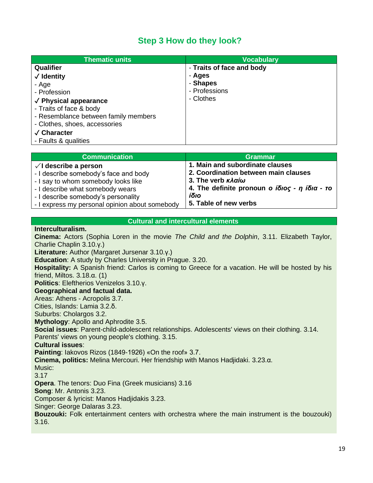# **Step 3 How do they look?**

| <b>Thematic units</b>                                                                                                                                                                       | <b>Vocabulary</b>                   |
|---------------------------------------------------------------------------------------------------------------------------------------------------------------------------------------------|-------------------------------------|
| Qualifier                                                                                                                                                                                   | - Traits of face and body           |
| $\sqrt{}$ Identity<br>- Age<br>- Profession                                                                                                                                                 | - Ages<br>- Shapes<br>- Professions |
| $\sqrt{}$ Physical appearance<br>- Traits of face & body<br>- Resemblance between family members<br>- Clothes, shoes, accessories<br>$\sqrt{\phantom{a}}$ Character<br>- Faults & qualities | - Clothes                           |

| <b>Communication</b>                           | <b>Grammar</b>                                |
|------------------------------------------------|-----------------------------------------------|
| $\sqrt{}$ I describe a person                  | 1. Main and subordinate clauses               |
| - I describe somebody's face and body          | 2. Coordination between main clauses          |
| - I say to whom somebody looks like            | 3. The verb Kλαίω                             |
| - I describe what somebody wears               | 4. The definite pronoun ο ίδιος - η ίδια - το |
| - I describe somebody's personality            | ίδιο                                          |
| - I express my personal opinion about somebody | 5. Table of new verbs                         |

#### **Cultural and intercultural elements**

#### **Interculturalism.**

**Cinema:** Actors (Sophia Loren in the movie *The Child and the Dolphin*, 3.11. Elizabeth Taylor, Charlie Chaplin 3.10.γ.) **Literature:** Author (Margaret Jursenar 3.10.γ.) **Education**: A study by Charles University in Prague. 3.20. **Hospitality:** A Spanish friend: Carlos is coming to Greece for a vacation. He will be hosted by his friend, Miltos. 3.18.α. (1) **Politics**: Eleftherios Venizelos 3.10.γ. **Geographical and factual data.** Areas: Athens - Acropolis 3.7. Cities, Islands: Lamia 3.2.δ. Suburbs: Cholargos 3.2. **Mythology**: Apollo and Aphrodite 3.5. **Social issues**: Parent-child-adolescent relationships. Adolescents' views on their clothing. 3.14. Parents' views on young people's clothing. 3.15. **Cultural issues**: **Painting**: Iakovos Rizos (1849-1926) «On the roof» 3.7. **Cinema, politics:** Melina Mercouri. Her friendship with Manos Hadjidaki. 3.23.α. Music: 3.17 **Opera**. The tenors: Duo Fina (Greek musicians) 3.16 **Song**: Mr. Antonis 3.23. Composer & lyricist: Manos Hadjidakis 3.23. Singer: George Dalaras 3.23. **Bouzouki:** Folk entertainment centers with orchestra where the main instrument is the bouzouki) 3.16.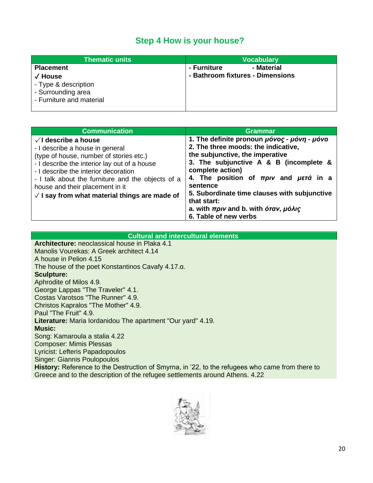# **Step 4 How is your house?**

| ∣Thematic units <sup>∖</sup> | <b>Vocabulary</b>                |
|------------------------------|----------------------------------|
| <b>Placement</b>             | - Material<br>- Furniture        |
| $\sqrt{\frac{1}{2}}$ House   | - Bathroom fixtures - Dimensions |
| - Type & description         |                                  |
| - Surrounding area           |                                  |
| - Furniture and material     |                                  |
|                              |                                  |

| <b>Communication</b>                                                                                                                                                                                                                                                                                                                                | <b>Grammar</b>                                                                                                                                                                                                                                                                                                                                                                                                                                      |
|-----------------------------------------------------------------------------------------------------------------------------------------------------------------------------------------------------------------------------------------------------------------------------------------------------------------------------------------------------|-----------------------------------------------------------------------------------------------------------------------------------------------------------------------------------------------------------------------------------------------------------------------------------------------------------------------------------------------------------------------------------------------------------------------------------------------------|
| $\sqrt{}$ I describe a house<br>- I describe a house in general<br>(type of house, number of stories etc.)<br>- I describe the interior lay out of a house<br>- I describe the interior decoration<br>- I talk about the furniture and the objects of a<br>house and their placement in it<br>$\sqrt{}$ I say from what material things are made of | 1. The definite pronoun μόνος - μόνη - μόνο<br>2. The three moods: the indicative,<br>the subjunctive, the imperative<br>3. The subjunctive A & B (incomplete &<br>complete action)<br>4. The position of $\pi \rho \nu$ and $\mu \epsilon \tau \alpha$ in a<br>sentence<br>5. Subordinate time clauses with subjunctive<br>that start:<br>a. with $\pi \rho \nu$ and b. with <i>órav</i> , $\mu \delta \lambda \nu \zeta$<br>6. Table of new verbs |

| <b>Cultural and intercultural elements</b>           |  |
|------------------------------------------------------|--|
| <b>Architecture:</b> neoclassical house in Plaka 4.1 |  |
| Manolis Vourekas: A Greek architect 4.14             |  |

Manolis Vourekas: A 0 A house in Pelion 4.15 The house of the poet Konstantinos Cavafy 4.17.α. **Sculpture:** Aphrodite of Milos 4.9. George Lappas "The Traveler" 4.1. Costas Varotsos "The Runner" 4.9. Christos Kapralos "The Mother" 4.9. Paul "The Fruit" 4.9. **Literature:** Maria Iordanidou The apartment "Our yard" 4.19. **Music:** Song: Kamaroula a stalia 4.22 Composer: Mimis Plessas Lyricist: Lefteris Papadopoulos Singer: Giannis Poulopoulos **History:** Reference to the Destruction of Smyrna, in '22, to the refugees who came from there to Greece and to the description of the refugee settlements around Athens. 4.22

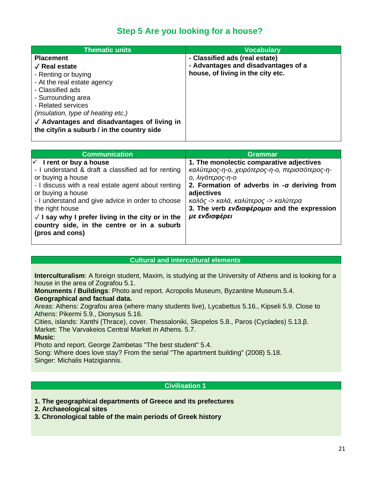# **Step 5 Are you looking for a house?**

| <b>Thematic units</b>                       | <b>Vocabulary</b>                   |
|---------------------------------------------|-------------------------------------|
| <b>Placement</b>                            | - Classified ads (real estate)      |
| $\sqrt{ }$ Real estate                      | - Advantages and disadvantages of a |
| - Renting or buying                         | house, of living in the city etc.   |
| - At the real estate agency                 |                                     |
| - Classified ads                            |                                     |
| - Surrounding area                          |                                     |
| - Related services                          |                                     |
| (insulation, type of heating etc.)          |                                     |
| √ Advantages and disadvantages of living in |                                     |
| the city/in a suburb / in the country side  |                                     |
|                                             |                                     |

| <b>Communication</b>                                                                                                                                                                                                                                                                                                                                                                           | <b>Grammar</b>                                                                                                                                                                                                                                                                        |
|------------------------------------------------------------------------------------------------------------------------------------------------------------------------------------------------------------------------------------------------------------------------------------------------------------------------------------------------------------------------------------------------|---------------------------------------------------------------------------------------------------------------------------------------------------------------------------------------------------------------------------------------------------------------------------------------|
| $\checkmark$ I rent or buy a house<br>- I understand & draft a classified ad for renting<br>or buying a house<br>- I discuss with a real estate agent about renting<br>or buying a house<br>- I understand and give advice in order to choose<br>the right house<br>$\sqrt{}$ I say why I prefer living in the city or in the<br>country side, in the centre or in a suburb<br>(pros and cons) | 1. The monolectic comparative adjectives<br>καλύτερος-η-ο, χειρότερος-η-ο, περισσότερος-η-<br>ο, λιγότερος-η-ο<br>2. Formation of adverbs in $-a$ deriving from<br>adjectives<br>καλός -> καλά, καλύτερος -> καλύτερα<br>3. The verb ενδιαφέρομαι and the expression<br>με ενδιαφέρει |

#### **Cultural and intercultural elements**

**Interculturalism**: A foreign student, Maxim, is studying at the University of Athens and is looking for a house in the area of Zografou 5.1.

**Monuments / Buildings**: Photo and report. Acropolis Museum, Byzantine Museum.5.4. **Geographical and factual data.**

Areas: Athens: Zografou area (where many students live), Lycabettus 5.16., Kipseli 5.9. Close to Athens: Pikermi 5.9., Dionysus 5.16.

Cities, islands: Xanthi (Thrace), cover. Thessaloniki, Skopelos 5.8., Paros (Cyclades) 5.13.β. Market: The Varvakeios Central Market in Athens. 5.7.

#### **Music**:

Photo and report. George Zambetas "The best student" 5.4.

Song: Where does love stay? From the serial "The apartment building" (2008) 5.18. Singer: Michalis Hatzigiannis.

#### **Civilisation 1**

- **1. The geographical departments of Greece and its prefectures**
- **2. Archaeological sites**
- **3. Chronological table of the main periods of Greek history**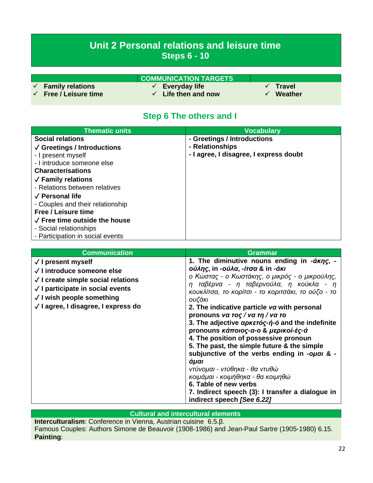# **Unit 2 Personal relations and leisure time Steps 6 - 10**

|                                  | <b>COMMUNICATION TARGETS</b>   |                      |
|----------------------------------|--------------------------------|----------------------|
| $\checkmark$ Family relations    | $\checkmark$ Everyday life     | $\sqrt{ }$ Travel    |
| $\checkmark$ Free / Leisure time | $\checkmark$ Life then and now | $\checkmark$ Weather |

# **Step 6 The others and I**

| <b>Thematic units</b>                          | <b>Vocabulary</b>                      |
|------------------------------------------------|----------------------------------------|
| <b>Social relations</b>                        | - Greetings / Introductions            |
| $\sqrt{\phantom{a}}$ Greetings / Introductions | - Relationships                        |
| - I present myself                             | - I agree, I disagree, I express doubt |
| - I introduce someone else                     |                                        |
| <b>Characterisations</b>                       |                                        |
| $\sqrt{}$ Family relations                     |                                        |
| - Relations between relatives                  |                                        |
| $\sqrt{\ }$ Personal life                      |                                        |
| - Couples and their relationship               |                                        |
| Free / Leisure time                            |                                        |
| $\sqrt{\ }$ Free time outside the house        |                                        |
| - Social relationships                         |                                        |
| - Participation in social events               |                                        |

| <b>Communication</b>                                                                                                                                                                                                   | <b>Grammar</b>                                                                                                                                                                                                                                                                                                                                                                                                                                                                                                                                                                                                                                                                                                                                                                                                               |
|------------------------------------------------------------------------------------------------------------------------------------------------------------------------------------------------------------------------|------------------------------------------------------------------------------------------------------------------------------------------------------------------------------------------------------------------------------------------------------------------------------------------------------------------------------------------------------------------------------------------------------------------------------------------------------------------------------------------------------------------------------------------------------------------------------------------------------------------------------------------------------------------------------------------------------------------------------------------------------------------------------------------------------------------------------|
| $\sqrt{}$ I present myself<br>√ I introduce someone else<br>$\sqrt{}$ I create simple social relations<br>$\sqrt{}$ I participate in social events<br>√ I wish people something<br>√ I agree, I disagree, I express do | 1. The diminutive nouns ending in $-\frac{\dot{\alpha}}{n\zeta}$ , -<br>ούλης, in -ούλα, -ίτσα & in -άκι<br>ο Κώστας - ο Κωστάκης, ο μικρός - ο μικρούλης,<br>η ταβέρνα - η ταβερνούλα, η κούκλα - η<br>κουκλίτσα, το κορίτσι - το κοριτσάκι, το ούζο - το<br>ουζάκι<br>2. The indicative particle va with personal<br>pronouns να τος / να τη / να το<br>3. The adjective $\alpha \rho \kappa \epsilon \tau \delta \zeta - \eta$ and the indefinite<br>pronouns κάποιος-α-ο & μερικοί-ές-ά<br>4. The position of possessive pronoun<br>5. The past, the simple future & the simple<br>subjunctive of the verbs ending in -oual & -<br>άμαι<br>ντύνομαι - ντύθηκα - θα ντυθώ<br>κοιμάμαι - κοιμήθηκα - θα κοιμηθώ<br>6. Table of new verbs<br>7. Indirect speech (3): I transfer a dialogue in<br>indirect speech [See 6.22] |

### **Cultural and intercultural elements**

**Interculturalism**: Conference in Vienna, Austrian cuisine 6.5.β. Famous Couples: Authors Simone de Beauvoir (1908-1986) and Jean-Paul Sartre (1905-1980) 6.15. **Painting**: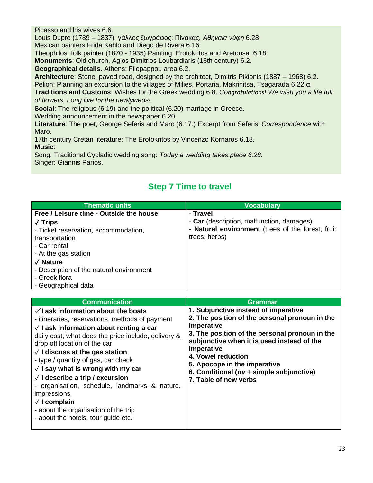Picasso and his wives 6.6.

Louis Dupre (1789 – 1837), γάλλος ζωγράφος: Πίνακας, *Αθηναία νύφη* 6.28 Mexican painters Frida Kahlo and Diego de Rivera 6.16.

Theophilos, folk painter (1870 - 1935) Painting: Erotokritos and Aretousa 6.18

**Monuments**: Old church, Agios Dimitrios Loubardiaris (16th century) 6.2.

**Geographical details.** Athens: Filopappou area 6.2.

**Architecture**: Stone, paved road, designed by the architect, Dimitris Pikionis (1887 – 1968) 6.2.

Pelion: Planning an excursion to the villages of Milies, Portaria, Makrinitsa, Tsagarada 6.22.α.

**Traditions and Customs**: Wishes for the Greek wedding 6.8. *Congratulations! We wish you a life full of flowers, Long live for the newlyweds!*

**Social:** The religious (6.19) and the political (6.20) marriage in Greece.

Wedding announcement in the newspaper 6.20.

**Literature**: The poet, George Seferis and Maro (6.17.) Excerpt from Seferis' *Correspondence* with Maro.

17th century Cretan literature: The Erotokritos by Vincenzo Kornaros 6.18. **Music**:

Song: Traditional Cycladic wedding song: *Today a wedding takes place 6.28.* Singer: Giannis Parios.

| <b>Thematic units</b>                    | <b>Vocabulary</b>                                 |
|------------------------------------------|---------------------------------------------------|
| Free / Leisure time - Outside the house  | - Travel                                          |
| $\sqrt{}$ Trips                          | - Car (description, malfunction, damages)         |
| - Ticket reservation, accommodation,     | - Natural environment (trees of the forest, fruit |
| transportation                           | trees, herbs)                                     |
| - Car rental                             |                                                   |
| - At the gas station                     |                                                   |
| $\sqrt{}$ Nature                         |                                                   |
| - Description of the natural environment |                                                   |
| - Greek flora                            |                                                   |
| - Geographical data                      |                                                   |

# **Step 7 Time to travel**

| <b>Communication</b><br>$\sqrt{}$ ask information about the boats<br>- itineraries, reservations, methods of payment<br>imperative<br>$\sqrt{ }$ I ask information about renting a car<br>daily cost, what does the price include, delivery &<br>drop off location of the car<br>imperative<br>$\sqrt{}$ I discuss at the gas station<br>- type / quantity of gas, car check<br>$\sqrt{ }$ I say what is wrong with my car<br>$\sqrt{}$ I describe a trip / excursion<br>- organisation, schedule, landmarks & nature,<br>impressions<br>$\sqrt{}$ I complain<br>- about the organisation of the trip | <b>Grammar</b><br>1. Subjunctive instead of imperative<br>2. The position of the personal pronoun in the<br>3. The position of the personal pronoun in the<br>subjunctive when it is used instead of the<br>4. Vowel reduction<br>5. Apocope in the imperative<br>6. Conditional ( $av +$ simple subjunctive)<br>7. Table of new verbs |
|-------------------------------------------------------------------------------------------------------------------------------------------------------------------------------------------------------------------------------------------------------------------------------------------------------------------------------------------------------------------------------------------------------------------------------------------------------------------------------------------------------------------------------------------------------------------------------------------------------|----------------------------------------------------------------------------------------------------------------------------------------------------------------------------------------------------------------------------------------------------------------------------------------------------------------------------------------|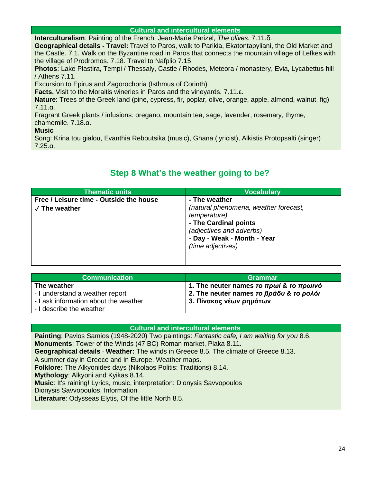#### **Cultural and intercultural elements**

**Interculturalism**: Painting of the French, Jean-Marie Parizel, *The olives.* 7.11.δ.

**Geographical details - Travel:** Travel to Paros, walk to Parikia, Ekatontapyliani, the Old Market and the Castle. 7.1. Walk on the Byzantine road in Paros that connects the mountain village of Lefkes with the village of Prodromos. 7.18. Travel to Nafplio 7.15

**Photos**: Lake Plastira, Tempi / Thessaly, Castle / Rhodes, Meteora / monastery, Evia, Lycabettus hill / Athens 7.11.

Excursion to Epirus and Zagorochoria (Isthmus of Corinth)

**Facts.** Visit to the Moraitis wineries in Paros and the vineyards. 7.11.ε.

**Nature**: Trees of the Greek land (pine, cypress, fir, poplar, olive, orange, apple, almond, walnut, fig) 7.11.α.

Fragrant Greek plants / infusions: oregano, mountain tea, sage, lavender, rosemary, thyme, chamomile. 7.18.α.

**Music** 

Song: Krina tou gialou, Evanthia Reboutsika (music), Ghana (lyricist), Alkistis Protopsalti (singer) 7.25.α.

# **Step 8 What's the weather going to be?**

| Thematic units                          | <b>Vocabulary</b>                                                                                                            |
|-----------------------------------------|------------------------------------------------------------------------------------------------------------------------------|
| Free / Leisure time - Outside the house | - The weather<br>(natural phenomena, weather forecast,                                                                       |
| $\sqrt{}$ The weather                   | <i>temperature)</i><br>- The Cardinal points<br>(adjectives and adverbs)<br>- Day - Weak - Month - Year<br>(time adjectives) |
|                                         |                                                                                                                              |

| <b>Communication</b>                                              | <b>Grammar</b>                                                                                                            |
|-------------------------------------------------------------------|---------------------------------------------------------------------------------------------------------------------------|
| The weather<br>- I understand a weather report                    | 1. The neuter names to $\pi \rho \omega i$ & to $\pi \rho \omega i \nu \delta$<br>2. The neuter names το βράδυ & το ρολόι |
| - I ask information about the weather<br>- I describe the weather | 3. Πίνακας νέων ρημάτων                                                                                                   |

#### **Cultural and intercultural elements**

**Painting**: Pavlos Samios (1948-2020) Two paintings: *Fantastic cafe, I am waiting for you* 8.6. **Monuments**: Tower of the Winds (47 BC) Roman market, Plaka 8.11. **Geographical details - Weather:** The winds in Greece 8.5. The climate of Greece 8.13. A summer day in Greece and in Europe. Weather maps. **Folklore:** The Alkyonides days (Nikolaos Politis: Traditions) 8.14. **Mythology**: Alkyoni and Kyikas 8.14. **Music**: It's raining! Lyrics, music, interpretation: Dionysis Savvopoulos Dionysis Savvopoulos. Information **Literature**: Odysseas Elytis, Of the little North 8.5.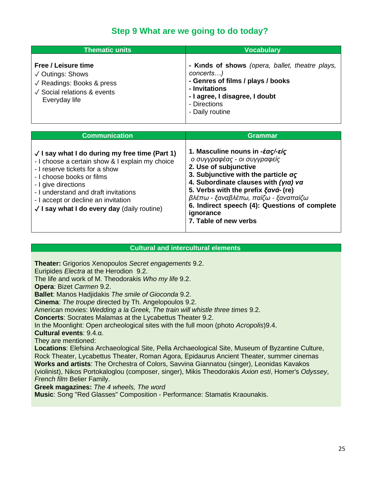# **Step 9 What are we going to do today?**

| <b>Thematic units</b>                                                                                                                                            | <b>Vocabulary</b>                                                                                                                                                                       |
|------------------------------------------------------------------------------------------------------------------------------------------------------------------|-----------------------------------------------------------------------------------------------------------------------------------------------------------------------------------------|
| <b>Free / Leisure time</b><br>$\sqrt{\phantom{a}}$ Outings: Shows<br>$\sqrt{}$ Readings: Books & press<br>$\sqrt{\ }$ Social relations & events<br>Everyday life | - Kinds of shows (opera, ballet, theatre plays,<br>concerts)<br>- Genres of films / plays / books<br>- Invitations<br>- I agree, I disagree, I doubt<br>- Directions<br>- Daily routine |

| <b>Communication</b>                                                                                                                                                                                                                                                                                                                 | <b>Grammar</b>                                                                                                                                                                                                                                                                                                                                                                                |
|--------------------------------------------------------------------------------------------------------------------------------------------------------------------------------------------------------------------------------------------------------------------------------------------------------------------------------------|-----------------------------------------------------------------------------------------------------------------------------------------------------------------------------------------------------------------------------------------------------------------------------------------------------------------------------------------------------------------------------------------------|
| $\sqrt{1}$ say what I do during my free time (Part 1)<br>- I choose a certain show & I explain my choice<br>- I reserve tickets for a show<br>- I choose books or films<br>- I give directions<br>- I understand and draft invitations<br>- I accept or decline an invitation<br>$\sqrt{}$ I say what I do every day (daily routine) | 1. Masculine nouns in -έας/-είς<br>ο συγγραφέας - οι συγγραφείς<br>2. Use of subjunctive<br>3. Subjunctive with the particle $\alpha\varsigma$<br>4. Subordinate clauses with $(\gamma \alpha)$ va<br>5. Verbs with the prefix $\zeta \alpha \nu \alpha$ -(re)<br>βλέπω - ξαναβλέπω, παίζω - ξαναπαίζω<br>6. Indirect speech (4): Questions of complete<br>ignorance<br>7. Table of new verbs |

#### **Cultural and intercultural elements**

**Theater:** Grigorios Xenopoulos *Secret engagements* 9.2.

Euripides *Electra* at the Herodion 9.2.

The life and work of M. Theodorakis *Who my life* 9.2.

**Opera**: Bizet *Carmen* 9.2.

**Ballet**: Manos Hadjidakis *The smile of Gioconda* 9.2.

**Cinema**: *The troupe* directed by Th. Angelopoulos 9.2.

American movies: *Wedding a la Greek, The train will whistle three times* 9.2.

**Concerts**: Socrates Malamas at the Lycabettus Theater 9.2.

In the Moonlight: Open archeological sites with the full moon (photo *Acropolis*)9.4.

**Cultural events**: 9.4.α.

They are mentioned:

**Locations**: Elefsina Archaeological Site, Pella Archaeological Site, Museum of Byzantine Culture, Rock Theater, Lycabettus Theater, Roman Agora, Epidaurus Ancient Theater, summer cinemas **Works and artists**: The Orchestra of Colors, Savvina Giannatou (singer), Leonidas Kavakos (violinist), Nikos Portokaloglou (composer, singer), Mikis Theodorakis *Axion esti*, Homer's *Odyssey*, *French film* Belier Family.

**Greek magazines:** *The 4 wheels, The word*

**Music**: Song "Red Glasses" Composition - Performance: Stamatis Kraounakis.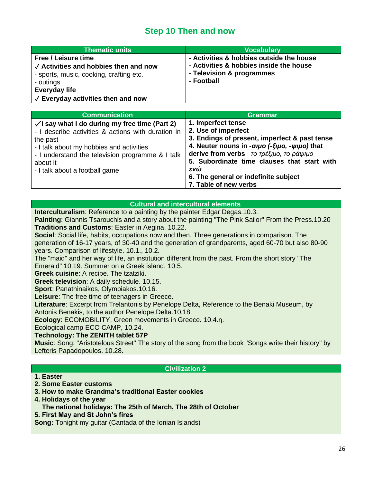# **Step 10 Then and now**

| <b>Thematic units</b>                                                                                                                                                                                | <b>Vocabulary</b>                                                                                                              |
|------------------------------------------------------------------------------------------------------------------------------------------------------------------------------------------------------|--------------------------------------------------------------------------------------------------------------------------------|
| <b>Free / Leisure time</b><br>$\sqrt{}$ Activities and hobbies then and now<br>- sports, music, cooking, crafting etc.<br>- outings<br>Everyday life<br>$\sqrt{\ }$ Everyday activities then and now | - Activities & hobbies outside the house<br>- Activities & hobbies inside the house<br>- Television & programmes<br>- Football |

| <b>Communication</b>                                                                                                                                                                                                                                                  | <b>Grammar</b>                                                                                                                                                                                                                                                                                               |
|-----------------------------------------------------------------------------------------------------------------------------------------------------------------------------------------------------------------------------------------------------------------------|--------------------------------------------------------------------------------------------------------------------------------------------------------------------------------------------------------------------------------------------------------------------------------------------------------------|
| $\sqrt{ }$ say what I do during my free time (Part 2)<br>- I describe activities & actions with duration in<br>the past<br>- I talk about my hobbies and activities<br>- I understand the television programme & I talk<br>about it<br>- I talk about a football game | 1. Imperfect tense<br>2. Use of imperfect<br>3. Endings of present, imperfect & past tense<br>4. Neuter nouns in -oipo (-ξιμο, -ψιμο) that<br>derive from verbs το τρέξιμο, το ράψιμο<br>5. Subordinate time clauses that start with<br>ενώ<br>6. The general or indefinite subject<br>7. Table of new verbs |

#### **Cultural and intercultural elements**

**Interculturalism**: Reference to a painting by the painter Edgar Degas.10.3.

**Painting**: Giannis Tsarouchis and a story about the painting "The Pink Sailor" From the Press.10.20 **Traditions and Customs**: Easter in Aegina. 10.22.

**Social**: Social life, habits, occupations now and then. Three generations in comparison. The generation of 16-17 years, of 30-40 and the generation of grandparents, aged 60-70 but also 80-90 years. Comparison of lifestyle. 10.1., 10.2.

The "maid" and her way of life, an institution different from the past. From the short story "The Emerald" 10.19. Summer on a Greek island. 10.5.

**Greek cuisine**: A recipe. The tzatziki.

**Greek television**: A daily schedule. 10.15.

**Sport**: Panathinaikos, Olympiakos.10.16.

**Leisure**: The free time of teenagers in Greece.

**Literature**: Excerpt from Trelantonis by Penelope Delta, Reference to the Benaki Museum, by Antonis Benakis, to the author Penelope Delta.10.18.

**Ecology**: ECOMOBILITY, Green movements in Greece. 10.4.η.

Ecological camp ECO CAMP, 10.24.

#### **Technology: The ZENITH tablet 57P**

**Music**: Song: "Aristotelous Street" The story of the song from the book "Songs write their history" by Lefteris Papadopoulos. 10.28.

#### **Civilization 2**

#### **1. Easter**

- **2. Some Easter customs**
- **3. How to make Grandma's traditional Easter cookies**
- **4. Holidays of the year**

 **The national holidays: The 25th of March, The 28th of October**

**5. First May and St John's fires**

**Song:** Tonight my guitar (Cantada of the Ionian Islands)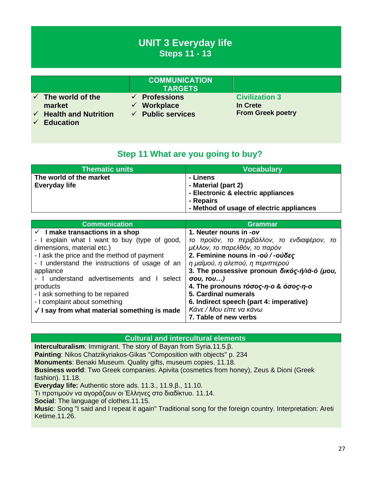# **UNIT 3 Everyday life Steps 11 - 13**

|              |                                                                              |                        | <b>COMMUNICATION</b><br><b>TARGETS</b>                    |                                                               |
|--------------|------------------------------------------------------------------------------|------------------------|-----------------------------------------------------------|---------------------------------------------------------------|
|              | $\checkmark$ The world of the<br>market<br>$\checkmark$ Health and Nutrition | ✓<br>✓<br>$\checkmark$ | <b>Professions</b><br>Workplace<br><b>Public services</b> | <b>Civilization 3</b><br>In Crete<br><b>From Greek poetry</b> |
| $\checkmark$ | <b>Education</b>                                                             |                        |                                                           |                                                               |

# **Step 11 What are you going to buy?**

| <b>Thematic units</b>   | Vocabulary                               |
|-------------------------|------------------------------------------|
| The world of the market | - Linens                                 |
| Everyday life           | - Material (part 2)                      |
|                         | - Electronic & electric appliances       |
|                         | - Repairs                                |
|                         | - Method of usage of electric appliances |

| <b>Communication</b>                           | <b>Grammar</b>                               |
|------------------------------------------------|----------------------------------------------|
| $\checkmark$ I make transactions in a shop     | 1. Neuter nouns in -ov                       |
| - I explain what I want to buy (type of good,  | το προϊόν, το περιβάλλον, το ενδιαφέρον, το  |
| dimensions, material etc.)                     | μέλλον, το παρελθόν, το παρόν                |
| - I ask the price and the method of payment    | 2. Feminine nouns in -ού / -ούδες            |
| - I understand the instructions of usage of an | η μαϊμού, η αλεπού, η περιπτερού             |
| appliance                                      | 3. The possessive pronoun δικός-ή/ιά-ό (μου, |
| - I understand advertisements and I<br>select  | σου, του)                                    |
| products                                       | 4. The pronouns τόσος-η-ο & όσος-η-ο         |
| - I ask something to be repaired               | 5. Cardinal numerals                         |
| - I complaint about something                  | 6. Indirect speech (part 4: imperative)      |
| √ I say from what material something is made   | Κάνε / Μου είπε να κάνω                      |
|                                                | 7. Table of new verbs                        |

#### **Cultural and intercultural elements**

**Interculturalism**: Immigrant. The story of Bayan from Syria.11.5.β.

**Painting**: Nikos Chatzikyriakos-Gikas "Composition with objects" p. 234

**Monuments**: Benaki Museum. Quality gifts, museum copies. 11.18.

**Business world**: Two Greek companies. Apivita (cosmetics from honey), Zeus & Dioni (Greek fashion). 11.18.

**Everyday life:** Authentic store ads. 11.3., 11.9.β., 11.10.

Τι προτιμούν να αγοράζουν οι Έλληνες στο διαδίκτυο. 11.14.

**Social**: The language of clothes.11.15.

**Music**: Song "I said and I repeat it again" Traditional song for the foreign country. Interpretation: Areti Ketime.11.26.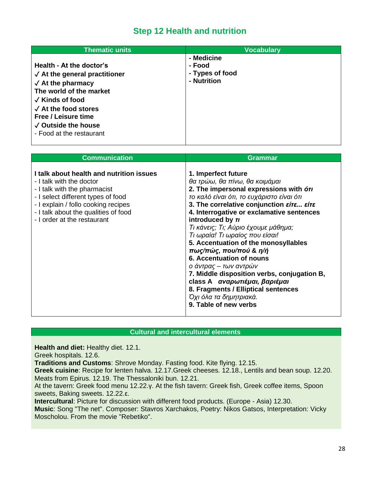# **Step 12 Health and nutrition**

| Thematic units                                                                                                                                                                                                                                                                                                                       | <b>Vocabulary</b>                                      |
|--------------------------------------------------------------------------------------------------------------------------------------------------------------------------------------------------------------------------------------------------------------------------------------------------------------------------------------|--------------------------------------------------------|
| Health - At the doctor's<br>$\sqrt{\phantom{a}}$ At the general practitioner<br>$\sqrt{\phantom{a}}$ At the pharmacy<br>The world of the market<br>$\sqrt{\phantom{a}}$ Kinds of food<br>$\sqrt{\phantom{a}}$ At the food stores<br><b>Free / Leisure time</b><br>$\sqrt{\phantom{a}}$ Outside the house<br>- Food at the restaurant | - Medicine<br>- Food<br>- Types of food<br>- Nutrition |

| <b>Communication</b>                                                                                                                                                                                                                                     | <b>Grammar</b>                                                                                                                                                                                                                                                                                                                                                                                                                                                                                                                                                                                                                                                                               |
|----------------------------------------------------------------------------------------------------------------------------------------------------------------------------------------------------------------------------------------------------------|----------------------------------------------------------------------------------------------------------------------------------------------------------------------------------------------------------------------------------------------------------------------------------------------------------------------------------------------------------------------------------------------------------------------------------------------------------------------------------------------------------------------------------------------------------------------------------------------------------------------------------------------------------------------------------------------|
| I talk about health and nutrition issues<br>- I talk with the doctor<br>- I talk with the pharmacist<br>- I select different types of food<br>- I explain / follo cooking recipes<br>- I talk about the qualities of food<br>- I order at the restaurant | 1. Imperfect future<br>θα τρώω, θα πίνω, θα κοιμάμαι<br>2. The impersonal expressions with or<br>το καλό είναι ότι, το ευχάριστο είναι ότι<br>3. The correlative conjunction $\varepsilon$ ir $\varepsilon$ $\varepsilon$ ir $\varepsilon$<br>4. Interrogative or exclamative sentences<br>introduced by TI<br>Τι κάνεις; Τι; Αύριο έχουμε μάθημα;<br>Τι ωραία! Τι ωραίος που είσαι!<br>5. Accentuation of the monosyllables<br>πως/πώς, που/πού & η/ή<br><b>6. Accentuation of nouns</b><br>ο άντρας – των αντρών<br>7. Middle disposition verbs, conjugation B,<br>class A αναρωτιέμαι, βαριέμαι<br>8. Fragments / Elliptical sentences<br>Όχι όλα τα δημητριακά.<br>9. Table of new verbs |

#### **Cultural and intercultural elements**

**Health and diet:** Healthy diet. 12.1.

Greek hospitals. 12.6.

**Traditions and Customs**: Shrove Monday. Fasting food. Kite flying. 12.15.

**Greek cuisine**: Recipe for lenten halva. 12.17.Greek cheeses. 12.18., Lentils and bean soup. 12.20. Meats from Epirus. 12.19. The Thessaloniki bun. 12.21.

At the tavern: Greek food menu 12.22.γ. At the fish tavern: Greek fish, Greek coffee items, Spoon sweets, Baking sweets. 12.22.ε.

**Intercultural**: Picture for discussion with different food products. (Europe - Asia) 12.30. **Music**: Song "The net". Composer: Stavros Xarchakos, Poetry: Nikos Gatsos, Interpretation: Vicky Moscholou. From the movie "Rebetiko".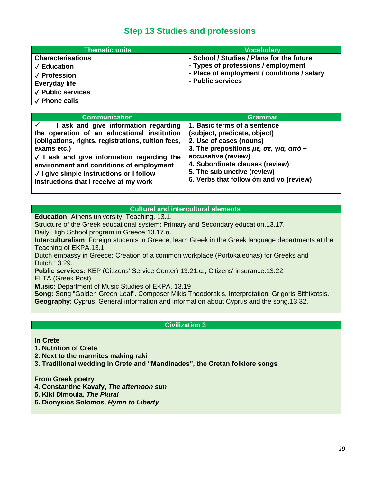# **Step 13 Studies and professions**

| <b>Thematic units</b>                                                                                                                                                | <b>Vocabulary</b>                                                                                                                                    |
|----------------------------------------------------------------------------------------------------------------------------------------------------------------------|------------------------------------------------------------------------------------------------------------------------------------------------------|
| <b>Characterisations</b><br>$\sqrt{\phantom{a}}$ Education<br>$\sqrt{\overline{}}$ Profession<br>Everyday life<br>$\sqrt{}$ Public services<br>$\sqrt{}$ Phone calls | - School / Studies / Plans for the future<br>- Types of professions / employment<br>- Place of employment / conditions / salary<br>- Public services |

| <b>Communication</b>                                                                                                                                                                                                                                                                                                                             | Grammar                                                                                                                                                                                                                                                                                                                                   |
|--------------------------------------------------------------------------------------------------------------------------------------------------------------------------------------------------------------------------------------------------------------------------------------------------------------------------------------------------|-------------------------------------------------------------------------------------------------------------------------------------------------------------------------------------------------------------------------------------------------------------------------------------------------------------------------------------------|
| I ask and give information regarding<br>the operation of an educational institution<br>(obligations, rights, registrations, tuition fees,<br>exams etc.)<br>$\sqrt{}$ I ask and give information regarding the<br>environment and conditions of employment<br>√ I give simple instructions or I follow<br>instructions that I receive at my work | 1. Basic terms of a sentence<br>(subject, predicate, object)<br>2. Use of cases (nouns)<br>3. The prepositions $\mu \varepsilon$ , $\sigma \varepsilon$ , $\gamma \mu \alpha$ , $\alpha \pi \delta$ +<br>accusative (review)<br>4. Subordinate clauses (review)<br>5. The subjunctive (review)<br>6. Verbs that follow ór and va (review) |
|                                                                                                                                                                                                                                                                                                                                                  |                                                                                                                                                                                                                                                                                                                                           |

#### **Cultural and intercultural elements**

**Education:** Athens university. Teaching. 13.1.

Structure of the Greek educational system: Primary and Secondary education.13.17.

Daily High School program in Greece:13.17.α.

**Interculturalism**: Foreign students in Greece, learn Greek in the Greek language departments at the Teaching of EKPA.13.1.

Dutch embassy in Greece: Creation of a common workplace (Portokaleonas) for Greeks and Dutch.13.29.

**Public services:** KEP (Citizens' Service Center) 13.21.α., Citizens' insurance.13.22.

ELTA (Greek Post)

**Music**: Department of Music Studies of EKPA. 13.19

**Song:** Song "Golden Green Leaf". Composer Mikis Theodorakis, Interpretation: Grigoris Bithikotsis. **Geography**: Cyprus. General information and information about Cyprus and the song.13.32.

#### **Civilization 3**

**In Crete**

- **1. Nutrition of Crete**
- **2. Next to the marmites making raki**
- **3. Traditional wedding in Crete and "Mandinades", the Cretan folklore songs**

**From Greek poetry**

- **4. Constantine Kavafy,** *The afternoon sun*
- **5. Kiki Dimoula***, The Plural*
- **6. Dionysios Solomos,** *Hymn to Liberty*